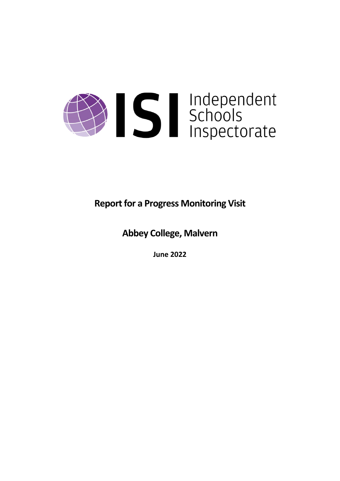

**Report for a Progress Monitoring Visit** 

**Abbey College, Malvern**

**June 2022**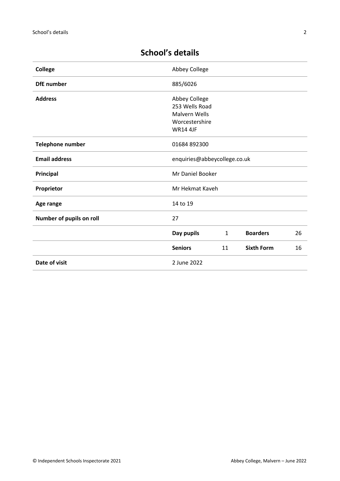| <b>College</b>           | Abbey College                                                                                |              |                   |    |
|--------------------------|----------------------------------------------------------------------------------------------|--------------|-------------------|----|
| <b>DfE</b> number        | 885/6026                                                                                     |              |                   |    |
| <b>Address</b>           | Abbey College<br>253 Wells Road<br><b>Malvern Wells</b><br>Worcestershire<br><b>WR14 4JF</b> |              |                   |    |
| Telephone number         | 01684 892300                                                                                 |              |                   |    |
| <b>Email address</b>     | enquiries@abbeycollege.co.uk                                                                 |              |                   |    |
| Principal                | Mr Daniel Booker                                                                             |              |                   |    |
| Proprietor               | Mr Hekmat Kaveh                                                                              |              |                   |    |
| Age range                | 14 to 19                                                                                     |              |                   |    |
| Number of pupils on roll | 27                                                                                           |              |                   |    |
|                          | Day pupils                                                                                   | $\mathbf{1}$ | <b>Boarders</b>   | 26 |
|                          | <b>Seniors</b>                                                                               | 11           | <b>Sixth Form</b> | 16 |
| Date of visit            | 2 June 2022                                                                                  |              |                   |    |

# **School's details**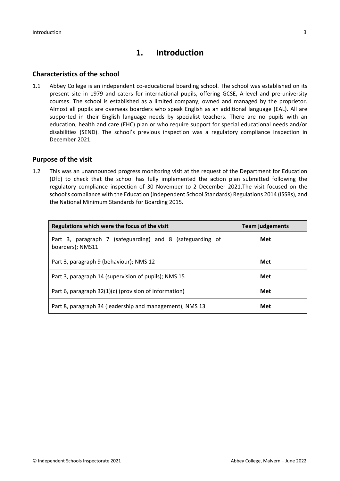## **1. Introduction**

### **Characteristics of the school**

1.1 Abbey College is an independent co-educational boarding school. The school was established on its present site in 1979 and caters for international pupils, offering GCSE, A-level and pre-university courses. The school is established as a limited company, owned and managed by the proprietor. Almost all pupils are overseas boarders who speak English as an additional language (EAL). All are supported in their English language needs by specialist teachers. There are no pupils with an education, health and care (EHC) plan or who require support for special educational needs and/or disabilities (SEND). The school's previous inspection was a regulatory compliance inspection in December 2021.

### **Purpose of the visit**

1.2 This was an unannounced progress monitoring visit at the request of the Department for Education (DfE) to check that the school has fully implemented the action plan submitted following the regulatory compliance inspection of 30 November to 2 December 2021.The visit focused on the school's compliance with the Education (Independent School Standards) Regulations 2014 (ISSRs), and the National Minimum Standards for Boarding 2015.

| Regulations which were the focus of the visit                                 | <b>Team judgements</b> |  |
|-------------------------------------------------------------------------------|------------------------|--|
| Part 3, paragraph 7 (safeguarding) and 8 (safeguarding of<br>boarders); NMS11 | Met                    |  |
| Part 3, paragraph 9 (behaviour); NMS 12                                       | Met                    |  |
| Part 3, paragraph 14 (supervision of pupils); NMS 15                          | Met                    |  |
| Part 6, paragraph 32(1)(c) (provision of information)                         | Met                    |  |
| Part 8, paragraph 34 (leadership and management); NMS 13                      | Met                    |  |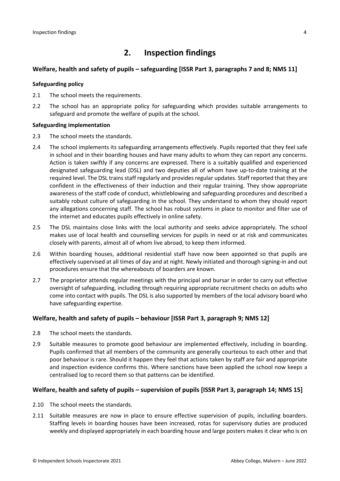# **2. Inspection findings**

### **Welfare, health and safety of pupils – safeguarding [ISSR Part 3, paragraphs 7 and 8; NMS 11]**

#### **Safeguarding policy**

- 2.1 The school meets the requirements.
- 2.2 The school has an appropriate policy for safeguarding which provides suitable arrangements to safeguard and promote the welfare of pupils at the school.

#### **Safeguarding implementation**

- 2.3 The school meets the standards.
- 2.4 The school implements its safeguarding arrangements effectively. Pupils reported that they feel safe in school and in their boarding houses and have many adults to whom they can report any concerns. Action is taken swiftly if any concerns are expressed. There is a suitably qualified and experienced designated safeguarding lead (DSL) and two deputies all of whom have up-to-date training at the required level. The DSL trains staff regularly and provides regular updates. Staff reported that they are confident in the effectiveness of their induction and their regular training. They show appropriate awareness of the staff code of conduct, whistleblowing and safeguarding procedures and described a suitably robust culture of safeguarding in the school. They understand to whom they should report any allegations concerning staff. The school has robust systems in place to monitor and filter use of the internet and educates pupils effectively in online safety.
- 2.5 The DSL maintains close links with the local authority and seeks advice appropriately. The school makes use of local health and counselling services for pupils in need or at risk and communicates closely with parents, almost all of whom live abroad, to keep them informed.
- 2.6 Within boarding houses, additional residential staff have now been appointed so that pupils are effectively supervised at all times of day and at night. Newly initiated and thorough signing-in and out procedures ensure that the whereabouts of boarders are known.
- 2.7 The proprietor attends regular meetings with the principal and bursar in order to carry out effective oversight of safeguarding, including through requiring appropriate recruitment checks on adults who come into contact with pupils. The DSL is also supported by members of the local advisory board who have safeguarding expertise.

#### **Welfare, health and safety of pupils – behaviour [ISSR Part 3, paragraph 9; NMS 12]**

- 2.8 The school meets the standards.
- 2.9 Suitable measures to promote good behaviour are implemented effectively, including in boarding. Pupils confirmed that all members of the community are generally courteous to each other and that poor behaviour is rare. Should it happen they feel that actions taken by staff are fair and appropriate and inspection evidence confirms this. Where sanctions have been applied the school now keeps a centralised log to record them so that patterns can be identified.

#### **Welfare, health and safety of pupils – supervision of pupils [ISSR Part 3, paragraph 14; NMS 15]**

- 2.10 The school meets the standards.
- 2.11 Suitable measures are now in place to ensure effective supervision of pupils, including boarders. Staffing levels in boarding houses have been increased, rotas for supervisory duties are produced weekly and displayed appropriately in each boarding house and large posters makes it clear who is on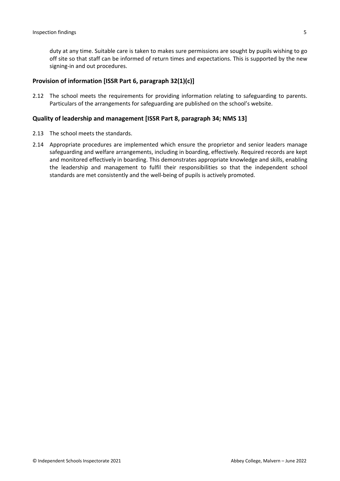duty at any time. Suitable care is taken to makes sure permissions are sought by pupils wishing to go off site so that staff can be informed of return times and expectations. This is supported by the new signing-in and out procedures.

#### **Provision of information [ISSR Part 6, paragraph 32(1)(c)]**

2.12 The school meets the requirements for providing information relating to safeguarding to parents. Particulars of the arrangements for safeguarding are published on the school's website.

#### **Quality of leadership and management [ISSR Part 8, paragraph 34; NMS 13]**

- 2.13 The school meets the standards.
- 2.14 Appropriate procedures are implemented which ensure the proprietor and senior leaders manage safeguarding and welfare arrangements, including in boarding, effectively. Required records are kept and monitored effectively in boarding. This demonstrates appropriate knowledge and skills, enabling the leadership and management to fulfil their responsibilities so that the independent school standards are met consistently and the well-being of pupils is actively promoted.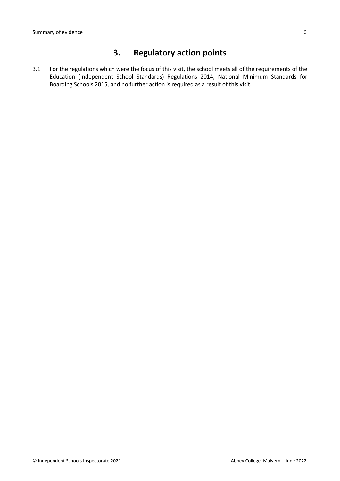# **3. Regulatory action points**

3.1 For the regulations which were the focus of this visit, the school meets all of the requirements of the Education (Independent School Standards) Regulations 2014, National Minimum Standards for Boarding Schools 2015, and no further action is required as a result of this visit.